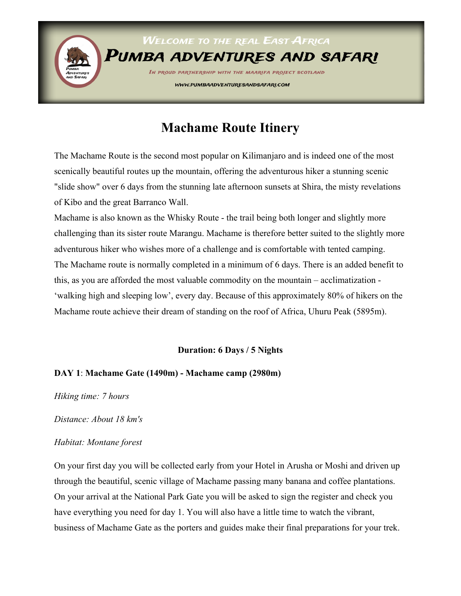

# **Machame Route Itinery**

The Machame Route is the second most popular on Kilimanjaro and is indeed one of the most scenically beautiful routes up the mountain, offering the adventurous hiker a stunning scenic "slide show" over 6 days from the stunning late afternoon sunsets at Shira, the misty revelations of Kibo and the great Barranco Wall.

Machame is also known as the Whisky Route - the trail being both longer and slightly more challenging than its sister route Marangu. Machame is therefore better suited to the slightly more adventurous hiker who wishes more of a challenge and is comfortable with tented camping. The Machame route is normally completed in a minimum of 6 days. There is an added benefit to this, as you are afforded the most valuable commodity on the mountain – acclimatization - 'walking high and sleeping low', every day. Because of this approximately 80% of hikers on the Machame route achieve their dream of standing on the roof of Africa, Uhuru Peak (5895m).

#### **Duration: 6 Days / 5 Nights**

#### **DAY 1**: **Machame Gate (1490m) - Machame camp (2980m)**

*Hiking time: 7 hours* 

*Distance: About 18 km's* 

#### *Habitat: Montane forest*

On your first day you will be collected early from your Hotel in Arusha or Moshi and driven up through the beautiful, scenic village of Machame passing many banana and coffee plantations. On your arrival at the National Park Gate you will be asked to sign the register and check you have everything you need for day 1. You will also have a little time to watch the vibrant, business of Machame Gate as the porters and guides make their final preparations for your trek.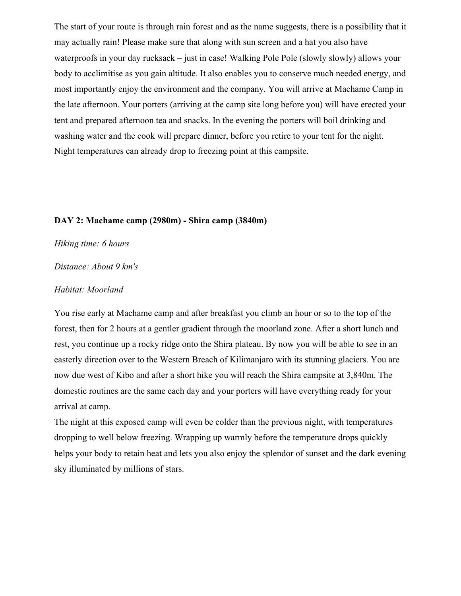The start of your route is through rain forest and as the name suggests, there is a possibility that it may actually rain! Please make sure that along with sun screen and a hat you also have waterproofs in your day rucksack – just in case! Walking Pole Pole (slowly slowly) allows your body to acclimitise as you gain altitude. It also enables you to conserve much needed energy, and most importantly enjoy the environment and the company. You will arrive at Machame Camp in the late afternoon. Your porters (arriving at the camp site long before you) will have erected your tent and prepared afternoon tea and snacks. In the evening the porters will boil drinking and washing water and the cook will prepare dinner, before you retire to your tent for the night. Night temperatures can already drop to freezing point at this campsite.

#### **DAY 2: Machame camp (2980m) - Shira camp (3840m)**

*Hiking time: 6 hours* 

*Distance: About 9 km's* 

#### *Habitat: Moorland*

You rise early at Machame camp and after breakfast you climb an hour or so to the top of the forest, then for 2 hours at a gentler gradient through the moorland zone. After a short lunch and rest, you continue up a rocky ridge onto the Shira plateau. By now you will be able to see in an easterly direction over to the Western Breach of Kilimanjaro with its stunning glaciers. You are now due west of Kibo and after a short hike you will reach the Shira campsite at 3,840m. The domestic routines are the same each day and your porters will have everything ready for your arrival at camp.

The night at this exposed camp will even be colder than the previous night, with temperatures dropping to well below freezing. Wrapping up warmly before the temperature drops quickly helps your body to retain heat and lets you also enjoy the splendor of sunset and the dark evening sky illuminated by millions of stars.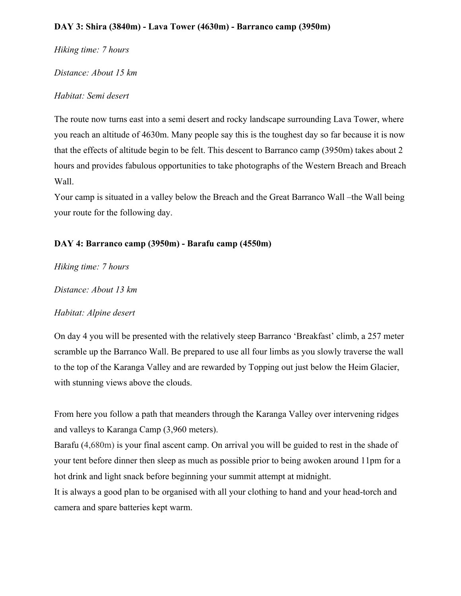#### **DAY 3: Shira (3840m) - Lava Tower (4630m) - Barranco camp (3950m)**

*Hiking time: 7 hours* 

*Distance: About 15 km* 

# *Habitat: Semi desert*

The route now turns east into a semi desert and rocky landscape surrounding Lava Tower, where you reach an altitude of 4630m. Many people say this is the toughest day so far because it is now that the effects of altitude begin to be felt. This descent to Barranco camp (3950m) takes about 2 hours and provides fabulous opportunities to take photographs of the Western Breach and Breach Wall.

Your camp is situated in a valley below the Breach and the Great Barranco Wall –the Wall being your route for the following day.

# **DAY 4: Barranco camp (3950m) - Barafu camp (4550m)**

*Hiking time: 7 hours* 

*Distance: About 13 km*

# *Habitat: Alpine desert*

On day 4 you will be presented with the relatively steep Barranco 'Breakfast' climb, a 257 meter scramble up the Barranco Wall. Be prepared to use all four limbs as you slowly traverse the wall to the top of the Karanga Valley and are rewarded by Topping out just below the Heim Glacier, with stunning views above the clouds.

From here you follow a path that meanders through the Karanga Valley over intervening ridges and valleys to Karanga Camp (3,960 meters).

Barafu (4,680m) is your final ascent camp. On arrival you will be guided to rest in the shade of your tent before dinner then sleep as much as possible prior to being awoken around 11pm for a hot drink and light snack before beginning your summit attempt at midnight.

It is always a good plan to be organised with all your clothing to hand and your head-torch and camera and spare batteries kept warm.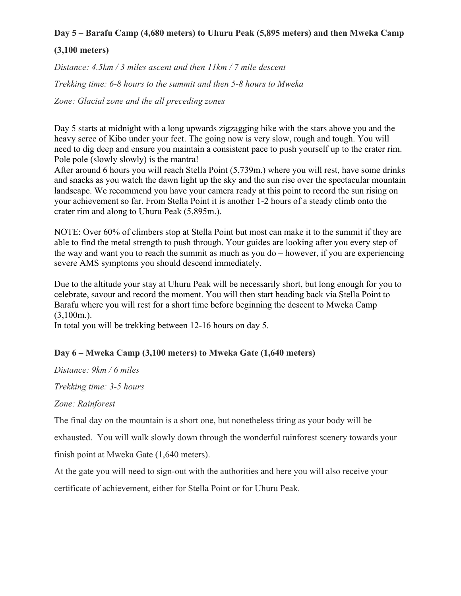# **Day 5 – Barafu Camp (4,680 meters) to Uhuru Peak (5,895 meters) and then Mweka Camp**

# **(3,100 meters)**

*Distance: 4.5km / 3 miles ascent and then 11km / 7 mile descent*

*Trekking time: 6-8 hours to the summit and then 5-8 hours to Mweka*

*Zone: Glacial zone and the all preceding zones*

Day 5 starts at midnight with a long upwards zigzagging hike with the stars above you and the heavy scree of Kibo under your feet. The going now is very slow, rough and tough. You will need to dig deep and ensure you maintain a consistent pace to push yourself up to the crater rim. Pole pole (slowly slowly) is the mantra!

After around 6 hours you will reach Stella Point (5,739m.) where you will rest, have some drinks and snacks as you watch the dawn light up the sky and the sun rise over the spectacular mountain landscape. We recommend you have your camera ready at this point to record the sun rising on your achievement so far. From Stella Point it is another 1-2 hours of a steady climb onto the crater rim and along to Uhuru Peak (5,895m.).

NOTE: Over 60% of climbers stop at Stella Point but most can make it to the summit if they are able to find the metal strength to push through. Your guides are looking after you every step of the way and want you to reach the summit as much as you do – however, if you are experiencing severe AMS symptoms you should descend immediately.

Due to the altitude your stay at Uhuru Peak will be necessarily short, but long enough for you to celebrate, savour and record the moment. You will then start heading back via Stella Point to Barafu where you will rest for a short time before beginning the descent to Mweka Camp  $(3,100m)$ .

In total you will be trekking between 12-16 hours on day 5.

# **Day 6 – Mweka Camp (3,100 meters) to Mweka Gate (1,640 meters)**

*Distance: 9km / 6 miles*

*Trekking time: 3-5 hours*

*Zone: Rainforest*

The final day on the mountain is a short one, but nonetheless tiring as your body will be

exhausted. You will walk slowly down through the wonderful rainforest scenery towards your

finish point at Mweka Gate (1,640 meters).

At the gate you will need to sign-out with the authorities and here you will also receive your certificate of achievement, either for Stella Point or for Uhuru Peak.